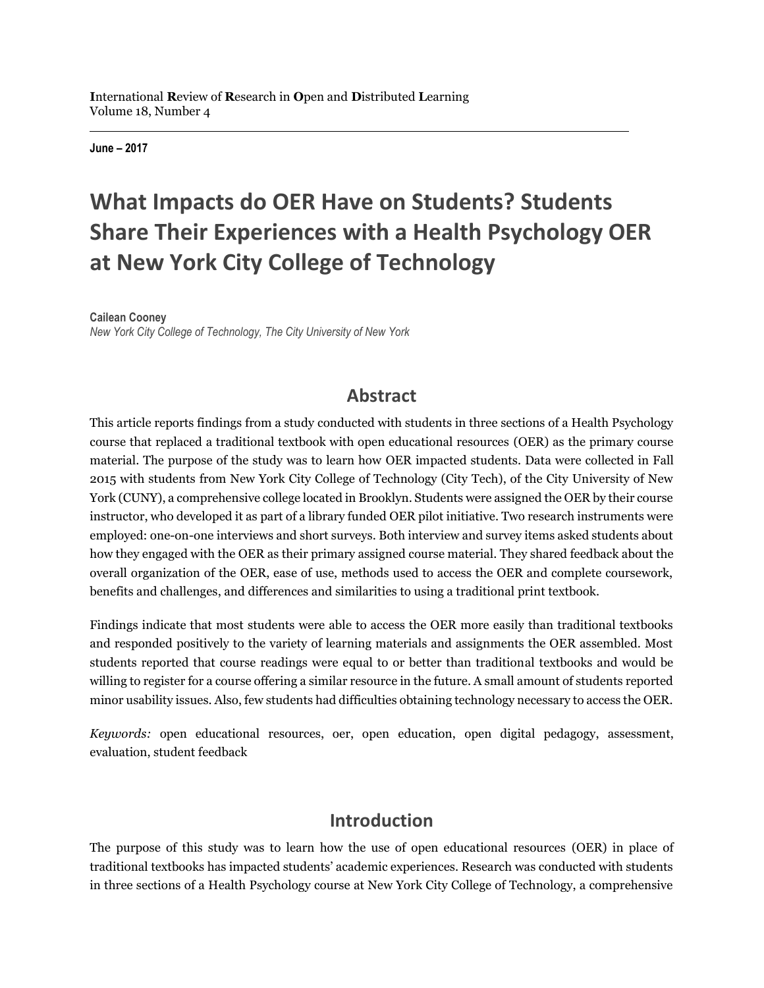**June – 2017**

# **What Impacts do OER Have on Students? Students Share Their Experiences with a Health Psychology OER at New York City College of Technology**

**Cailean Cooney** *New York City College of Technology, The City University of New York*

## **Abstract**

This article reports findings from a study conducted with students in three sections of a Health Psychology course that replaced a traditional textbook with open educational resources (OER) as the primary course material. The purpose of the study was to learn how OER impacted students. Data were collected in Fall 2015 with students from New York City College of Technology (City Tech), of the City University of New York (CUNY), a comprehensive college located in Brooklyn. Students were assigned the OER by their course instructor, who developed it as part of a library funded OER pilot initiative. Two research instruments were employed: one-on-one interviews and short surveys. Both interview and survey items asked students about how they engaged with the OER as their primary assigned course material. They shared feedback about the overall organization of the OER, ease of use, methods used to access the OER and complete coursework, benefits and challenges, and differences and similarities to using a traditional print textbook.

Findings indicate that most students were able to access the OER more easily than traditional textbooks and responded positively to the variety of learning materials and assignments the OER assembled. Most students reported that course readings were equal to or better than traditional textbooks and would be willing to register for a course offering a similar resource in the future. A small amount of students reported minor usability issues. Also, few students had difficulties obtaining technology necessary to access the OER.

*Keywords:* open educational resources, oer, open education, open digital pedagogy, assessment, evaluation, student feedback

## **Introduction**

The purpose of this study was to learn how the use of open educational resources (OER) in place of traditional textbooks has impacted students' academic experiences. Research was conducted with students in three sections of a Health Psychology course at New York City College of Technology, a comprehensive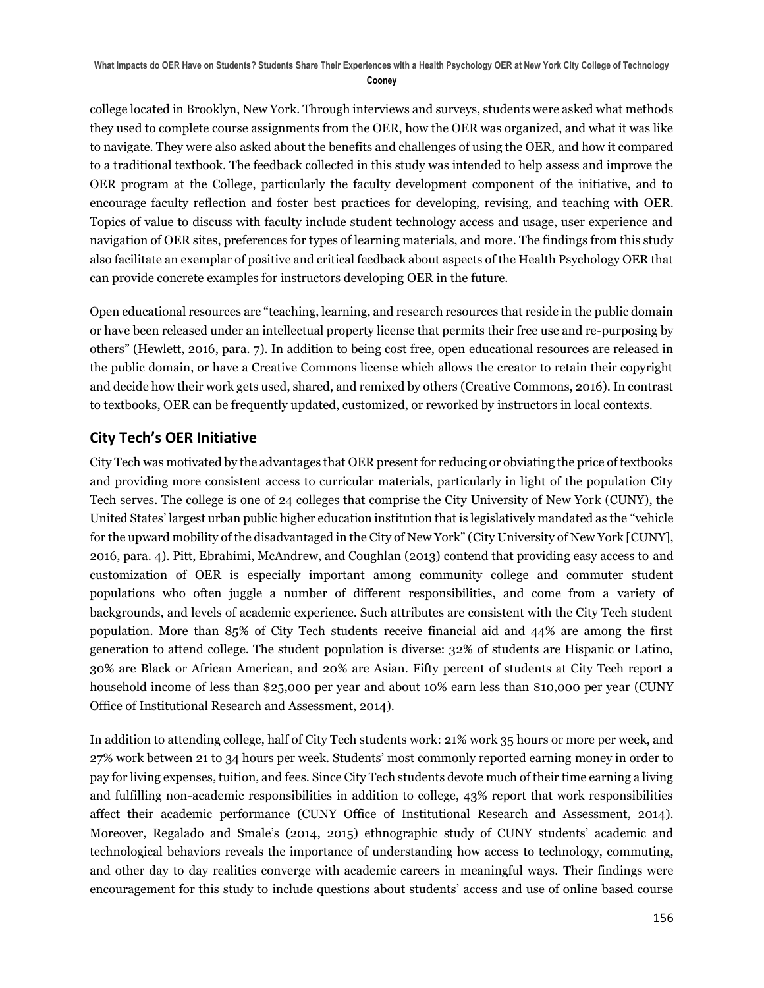college located in Brooklyn, New York. Through interviews and surveys, students were asked what methods they used to complete course assignments from the OER, how the OER was organized, and what it was like to navigate. They were also asked about the benefits and challenges of using the OER, and how it compared to a traditional textbook. The feedback collected in this study was intended to help assess and improve the OER program at the College, particularly the faculty development component of the initiative, and to encourage faculty reflection and foster best practices for developing, revising, and teaching with OER. Topics of value to discuss with faculty include student technology access and usage, user experience and navigation of OER sites, preferences for types of learning materials, and more. The findings from this study also facilitate an exemplar of positive and critical feedback about aspects of the Health Psychology OER that can provide concrete examples for instructors developing OER in the future.

Open educational resources are "teaching, learning, and research resources that reside in the public domain or have been released under an intellectual property license that permits their free use and re-purposing by others" (Hewlett, 2016, para. 7). In addition to being cost free, open educational resources are released in the public domain, or have a Creative Commons license which allows the creator to retain their copyright and decide how their work gets used, shared, and remixed by others (Creative Commons, 2016). In contrast to textbooks, OER can be frequently updated, customized, or reworked by instructors in local contexts.

#### **City Tech's OER Initiative**

City Tech was motivated by the advantages that OER present for reducing or obviating the price of textbooks and providing more consistent access to curricular materials, particularly in light of the population City Tech serves. The college is one of 24 colleges that comprise the City University of New York (CUNY), the United States' largest urban public higher education institution that is legislatively mandated as the "vehicle for the upward mobility of the disadvantaged in the City of New York" (City University of New York [CUNY], 2016, para. 4). Pitt, Ebrahimi, McAndrew, and Coughlan (2013) contend that providing easy access to and customization of OER is especially important among community college and commuter student populations who often juggle a number of different responsibilities, and come from a variety of backgrounds, and levels of academic experience. Such attributes are consistent with the City Tech student population. More than 85% of City Tech students receive financial aid and 44% are among the first generation to attend college. The student population is diverse: 32% of students are Hispanic or Latino, 30% are Black or African American, and 20% are Asian. Fifty percent of students at City Tech report a household income of less than \$25,000 per year and about 10% earn less than \$10,000 per year (CUNY Office of Institutional Research and Assessment, 2014).

In addition to attending college, half of City Tech students work: 21% work 35 hours or more per week, and 27% work between 21 to 34 hours per week. Students' most commonly reported earning money in order to pay for living expenses, tuition, and fees. Since City Tech students devote much of their time earning a living and fulfilling non-academic responsibilities in addition to college, 43% report that work responsibilities affect their academic performance (CUNY Office of Institutional Research and Assessment, 2014). Moreover, Regalado and Smale's (2014, 2015) ethnographic study of CUNY students' academic and technological behaviors reveals the importance of understanding how access to technology, commuting, and other day to day realities converge with academic careers in meaningful ways. Their findings were encouragement for this study to include questions about students' access and use of online based course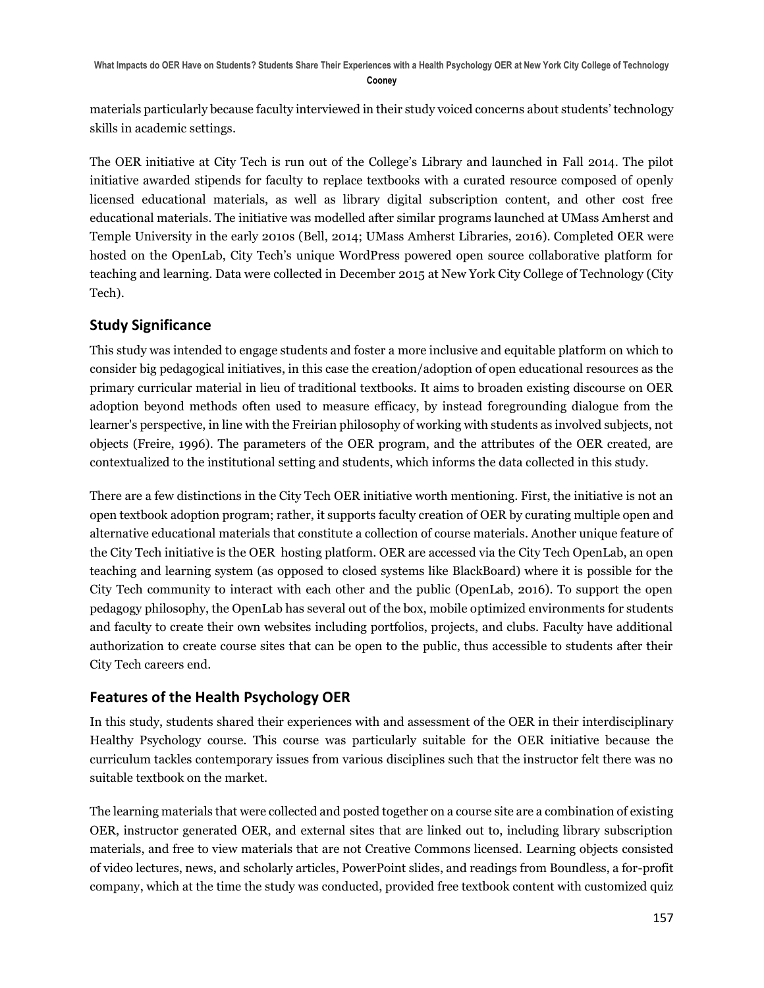materials particularly because faculty interviewed in their study voiced concerns about students' technology skills in academic settings.

The OER initiative at City Tech is run out of the College's Library and launched in Fall 2014. The pilot initiative awarded stipends for faculty to replace textbooks with a curated resource composed of openly licensed educational materials, as well as library digital subscription content, and other cost free educational materials. The initiative was modelled after similar programs launched at UMass Amherst and Temple University in the early 2010s (Bell, 2014; UMass Amherst Libraries, 2016). Completed OER were hosted on the OpenLab, City Tech's unique WordPress powered open source collaborative platform for teaching and learning. Data were collected in December 2015 at New York City College of Technology (City Tech).

#### **Study Significance**

This study was intended to engage students and foster a more inclusive and equitable platform on which to consider big pedagogical initiatives, in this case the creation/adoption of open educational resources as the primary curricular material in lieu of traditional textbooks. It aims to broaden existing discourse on OER adoption beyond methods often used to measure efficacy, by instead foregrounding dialogue from the learner's perspective, in line with the Freirian philosophy of working with students as involved subjects, not objects (Freire, 1996). The parameters of the OER program, and the attributes of the OER created, are contextualized to the institutional setting and students, which informs the data collected in this study.

There are a few distinctions in the City Tech OER initiative worth mentioning. First, the initiative is not an open textbook adoption program; rather, it supports faculty creation of OER by curating multiple open and alternative educational materials that constitute a collection of course materials. Another unique feature of the City Tech initiative is the OER hosting platform. OER are accessed via the City Tech OpenLab, an open teaching and learning system (as opposed to closed systems like BlackBoard) where it is possible for the City Tech community to interact with each other and the public (OpenLab, 2016). To support the open pedagogy philosophy, the OpenLab has several out of the box, mobile optimized environments for students and faculty to create their own websites including portfolios, projects, and clubs. Faculty have additional authorization to create course sites that can be open to the public, thus accessible to students after their City Tech careers end.

#### **Features of the Health Psychology OER**

In this study, students shared their experiences with and assessment of the OER in their interdisciplinary Healthy Psychology course. This course was particularly suitable for the OER initiative because the curriculum tackles contemporary issues from various disciplines such that the instructor felt there was no suitable textbook on the market.

The learning materials that were collected and posted together on a course site are a combination of existing OER, instructor generated OER, and external sites that are linked out to, including library subscription materials, and free to view materials that are not Creative Commons licensed. Learning objects consisted of video lectures, news, and scholarly articles, PowerPoint slides, and readings from Boundless, a for-profit company, which at the time the study was conducted, provided free textbook content with customized quiz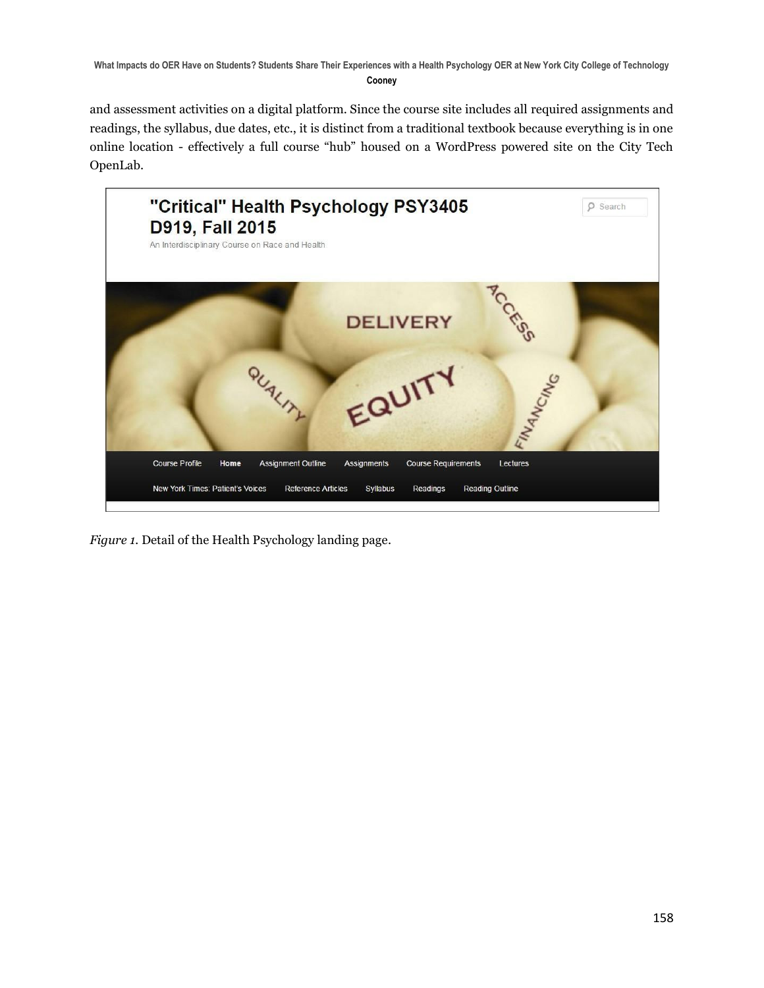and assessment activities on a digital platform. Since the course site includes all required assignments and readings, the syllabus, due dates, etc., it is distinct from a traditional textbook because everything is in one online location - effectively a full course "hub" housed on a WordPress powered site on the City Tech OpenLab.



*Figure 1.* Detail of the Health Psychology landing page.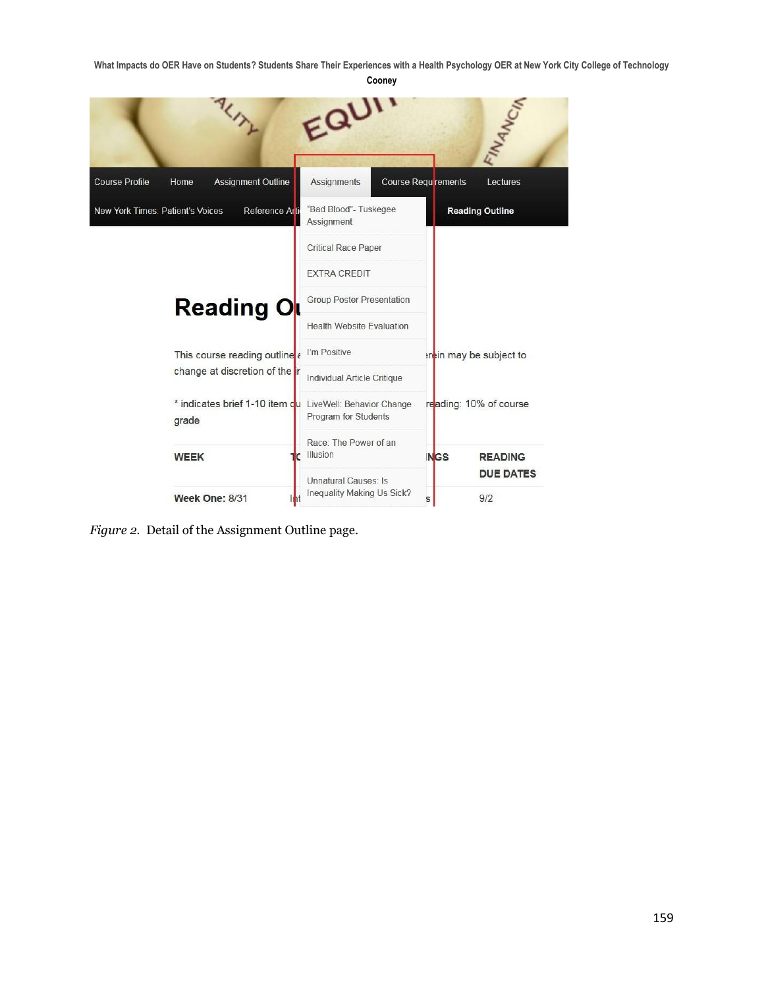|                                                                   |  | EQUI.                                     |                         |  | <b>MANC</b>            |
|-------------------------------------------------------------------|--|-------------------------------------------|-------------------------|--|------------------------|
| <b>Course Profile</b><br>Home<br><b>Assignment Outline</b>        |  | <b>Course Requ</b> rements<br>Assignments |                         |  | Lectures               |
| New York Times: Patient's Voices<br>Reference Arti                |  | "Bad Blood"- Tuskegee<br>Assignment       |                         |  | <b>Reading Outline</b> |
|                                                                   |  | <b>Critical Race Paper</b>                |                         |  |                        |
|                                                                   |  | <b>EXTRA CREDIT</b>                       |                         |  |                        |
| <b>Reading O</b>                                                  |  | <b>Group Poster Presentation</b>          |                         |  |                        |
|                                                                   |  | <b>Health Website Evaluation</b>          |                         |  |                        |
| This course reading outline a                                     |  | I'm Positive                              | erein may be subject to |  |                        |
| change at discretion of the in                                    |  | Individual Article Critique               |                         |  |                        |
| * indicates brief 1-10 item cu LiveWell: Behavior Change<br>grade |  | Program for Students                      | reading: 10% of course  |  |                        |
| <b>WEEK</b>                                                       |  | Race: The Power of an<br>Illusion         | <b>INGS</b>             |  | <b>READING</b>         |
|                                                                   |  | <b>Unnatural Causes: Is</b>               |                         |  | <b>DUE DATES</b>       |
| Week One: 8/31                                                    |  | Inequality Making Us Sick?                | s                       |  | 9/2                    |

*Figure 2.* Detail of the Assignment Outline page.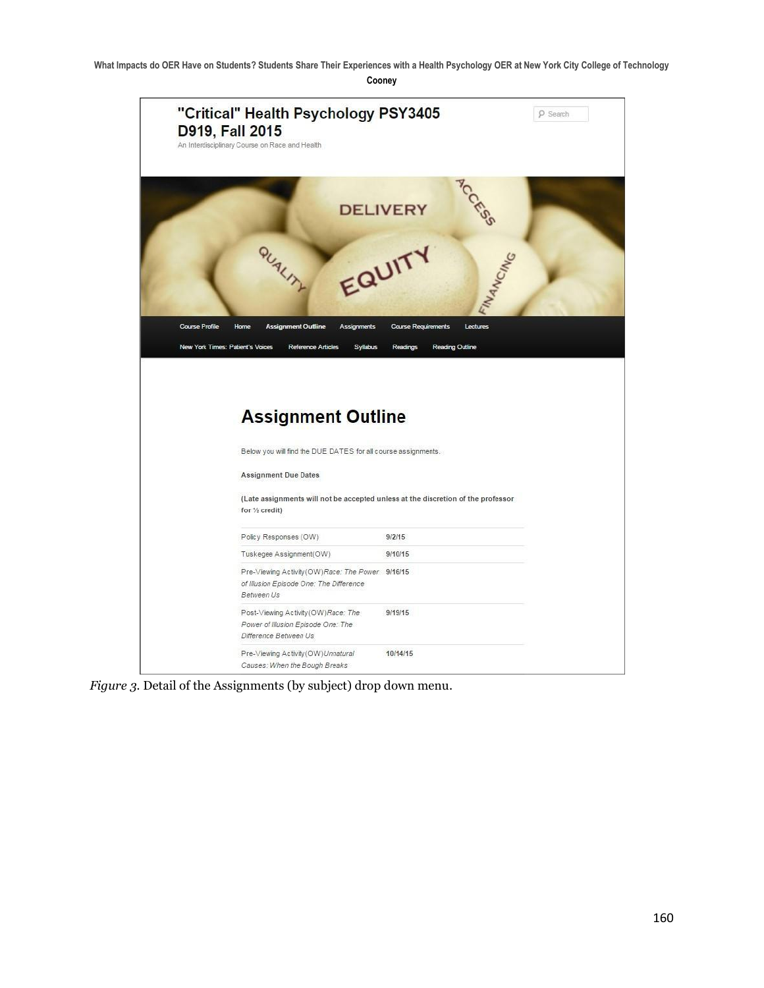|                       | "Critical" Health Psychology PSY3405<br>D919, Fall 2015<br>An Interdisciplinary Course on Race and Health                     |                                                                              | $\rho$ Search |
|-----------------------|-------------------------------------------------------------------------------------------------------------------------------|------------------------------------------------------------------------------|---------------|
|                       |                                                                                                                               | ACCESS A<br><b>DELIVERY</b>                                                  |               |
|                       | QUALITY                                                                                                                       | EQUITY<br><b>MANCINE</b>                                                     |               |
| <b>Course Profile</b> | Home<br><b>Assignment Outline</b><br><b>Assignments</b><br>New York Times: Patient's Voices<br>Reference Articles<br>Syllabus | <b>Course Requirements</b><br>Lectures<br>Readings<br><b>Reading Outline</b> |               |
|                       | <b>Assignment Outline</b><br>Below you will find the DUE DATES for all course assignments.                                    |                                                                              |               |
|                       | <b>Assignment Due Dates</b>                                                                                                   |                                                                              |               |
|                       | (Late assignments will not be accepted unless at the discretion of the professor<br>for 1/2 credit)                           |                                                                              |               |
|                       | Policy Responses (OW)                                                                                                         | 9/2/15                                                                       |               |
|                       | Tuskegee Assignment(OW)                                                                                                       | 9/10/15                                                                      |               |
|                       | Pre-Viewing Activity (OW) Race: The Power 9/16/15<br>of Illusion Episode One: The Difference<br>Between Us                    |                                                                              |               |
|                       | Post-Viewing Activity (OW) Race: The<br>Power of Illusion Episode One: The<br>Difference Between Us                           | 9/19/15                                                                      |               |
|                       | Pre-Viewing Activity (OW) Unnatural<br>Causes: When the Bough Breaks                                                          | 10/14/15                                                                     |               |

*Figure 3.* Detail of the Assignments (by subject) drop down menu.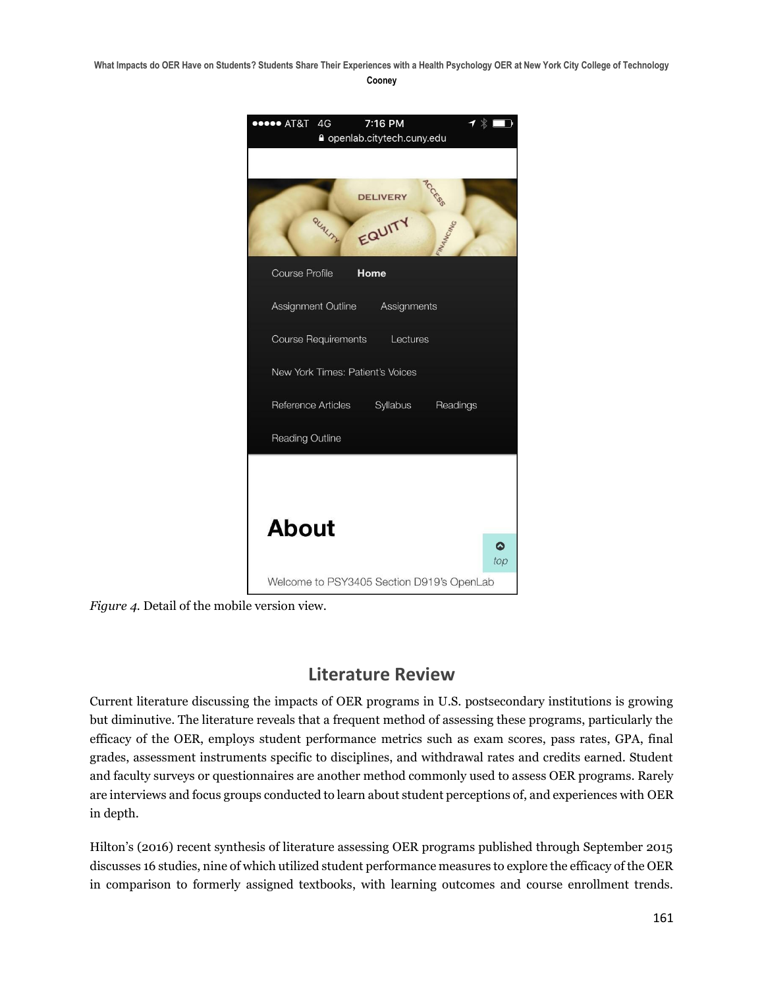

*Figure 4.* Detail of the mobile version view.

## **Literature Review**

Current literature discussing the impacts of OER programs in U.S. postsecondary institutions is growing but diminutive. The literature reveals that a frequent method of assessing these programs, particularly the efficacy of the OER, employs student performance metrics such as exam scores, pass rates, GPA, final grades, assessment instruments specific to disciplines, and withdrawal rates and credits earned. Student and faculty surveys or questionnaires are another method commonly used to assess OER programs. Rarely are interviews and focus groups conducted to learn about student perceptions of, and experiences with OER in depth.

Hilton's (2016) recent synthesis of literature assessing OER programs published through September 2015 discusses 16 studies, nine of which utilized student performance measures to explore the efficacy of the OER in comparison to formerly assigned textbooks, with learning outcomes and course enrollment trends.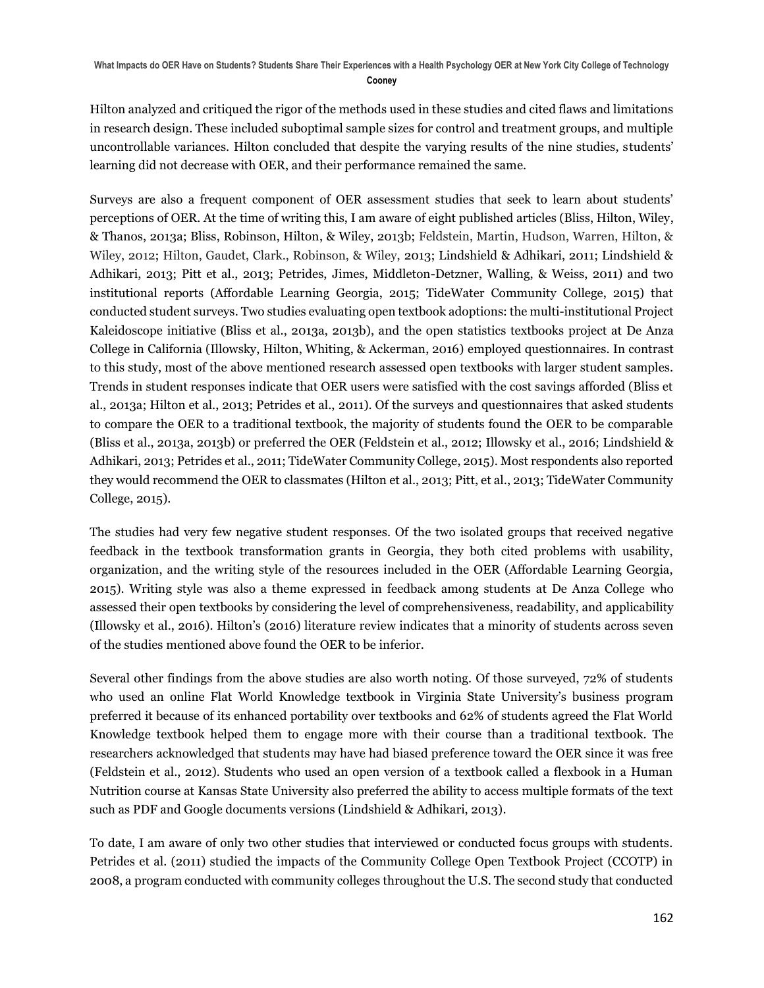Hilton analyzed and critiqued the rigor of the methods used in these studies and cited flaws and limitations in research design. These included suboptimal sample sizes for control and treatment groups, and multiple uncontrollable variances. Hilton concluded that despite the varying results of the nine studies, students' learning did not decrease with OER, and their performance remained the same.

Surveys are also a frequent component of OER assessment studies that seek to learn about students' perceptions of OER. At the time of writing this, I am aware of eight published articles (Bliss, Hilton, Wiley, & Thanos, 2013a; Bliss, Robinson, Hilton, & Wiley, 2013b; Feldstein, Martin, Hudson, Warren, Hilton, & Wiley, 2012; Hilton, Gaudet, Clark., Robinson, & Wiley, 2013; Lindshield & Adhikari, 2011; Lindshield & Adhikari, 2013; Pitt et al., 2013; Petrides, Jimes, Middleton-Detzner, Walling, & Weiss, 2011) and two institutional reports (Affordable Learning Georgia, 2015; TideWater Community College, 2015) that conducted student surveys. Two studies evaluating open textbook adoptions: the multi-institutional Project Kaleidoscope initiative (Bliss et al., 2013a, 2013b), and the open statistics textbooks project at De Anza College in California (Illowsky, Hilton, Whiting, & Ackerman, 2016) employed questionnaires. In contrast to this study, most of the above mentioned research assessed open textbooks with larger student samples. Trends in student responses indicate that OER users were satisfied with the cost savings afforded (Bliss et al., 2013a; Hilton et al., 2013; Petrides et al., 2011). Of the surveys and questionnaires that asked students to compare the OER to a traditional textbook, the majority of students found the OER to be comparable (Bliss et al., 2013a, 2013b) or preferred the OER (Feldstein et al., 2012; Illowsky et al., 2016; Lindshield & Adhikari, 2013; Petrides et al., 2011; TideWater Community College, 2015). Most respondents also reported they would recommend the OER to classmates (Hilton et al., 2013; Pitt, et al., 2013; TideWater Community College, 2015).

The studies had very few negative student responses. Of the two isolated groups that received negative feedback in the textbook transformation grants in Georgia, they both cited problems with usability, organization, and the writing style of the resources included in the OER (Affordable Learning Georgia, 2015). Writing style was also a theme expressed in feedback among students at De Anza College who assessed their open textbooks by considering the level of comprehensiveness, readability, and applicability (Illowsky et al., 2016). Hilton's (2016) literature review indicates that a minority of students across seven of the studies mentioned above found the OER to be inferior.

Several other findings from the above studies are also worth noting. Of those surveyed, 72% of students who used an online Flat World Knowledge textbook in Virginia State University's business program preferred it because of its enhanced portability over textbooks and 62% of students agreed the Flat World Knowledge textbook helped them to engage more with their course than a traditional textbook. The researchers acknowledged that students may have had biased preference toward the OER since it was free (Feldstein et al., 2012). Students who used an open version of a textbook called a flexbook in a Human Nutrition course at Kansas State University also preferred the ability to access multiple formats of the text such as PDF and Google documents versions (Lindshield & Adhikari, 2013).

To date, I am aware of only two other studies that interviewed or conducted focus groups with students. Petrides et al. (2011) studied the impacts of the Community College Open Textbook Project (CCOTP) in 2008, a program conducted with community colleges throughout the U.S. The second study that conducted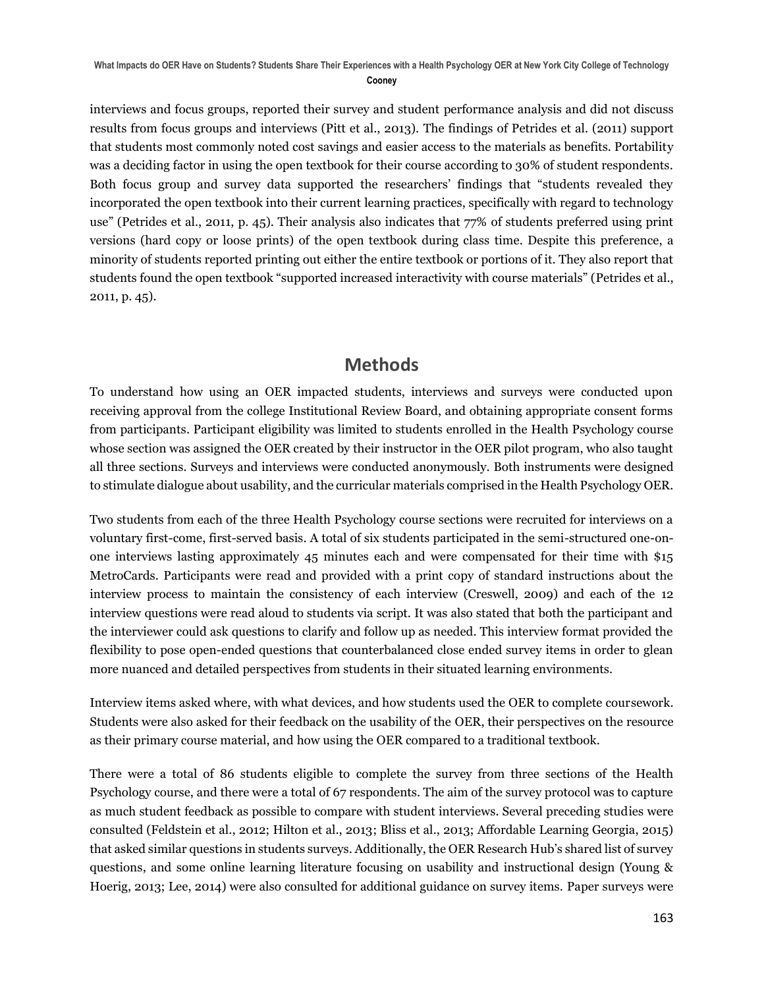interviews and focus groups, reported their survey and student performance analysis and did not discuss results from focus groups and interviews (Pitt et al., 2013). The findings of Petrides et al. (2011) support that students most commonly noted cost savings and easier access to the materials as benefits. Portability was a deciding factor in using the open textbook for their course according to 30% of student respondents. Both focus group and survey data supported the researchers' findings that "students revealed they incorporated the open textbook into their current learning practices, specifically with regard to technology use" (Petrides et al., 2011, p. 45). Their analysis also indicates that 77% of students preferred using print versions (hard copy or loose prints) of the open textbook during class time. Despite this preference, a minority of students reported printing out either the entire textbook or portions of it. They also report that students found the open textbook "supported increased interactivity with course materials" (Petrides et al., 2011, p. 45).

## **Methods**

To understand how using an OER impacted students, interviews and surveys were conducted upon receiving approval from the college Institutional Review Board, and obtaining appropriate consent forms from participants. Participant eligibility was limited to students enrolled in the Health Psychology course whose section was assigned the OER created by their instructor in the OER pilot program, who also taught all three sections. Surveys and interviews were conducted anonymously. Both instruments were designed to stimulate dialogue about usability, and the curricular materials comprised in the Health Psychology OER.

Two students from each of the three Health Psychology course sections were recruited for interviews on a voluntary first-come, first-served basis. A total of six students participated in the semi-structured one-onone interviews lasting approximately 45 minutes each and were compensated for their time with \$15 MetroCards. Participants were read and provided with a print copy of standard instructions about the interview process to maintain the consistency of each interview (Creswell, 2009) and each of the 12 interview questions were read aloud to students via script. It was also stated that both the participant and the interviewer could ask questions to clarify and follow up as needed. This interview format provided the flexibility to pose open-ended questions that counterbalanced close ended survey items in order to glean more nuanced and detailed perspectives from students in their situated learning environments.

Interview items asked where, with what devices, and how students used the OER to complete coursework. Students were also asked for their feedback on the usability of the OER, their perspectives on the resource as their primary course material, and how using the OER compared to a traditional textbook.

There were a total of 86 students eligible to complete the survey from three sections of the Health Psychology course, and there were a total of 67 respondents. The aim of the survey protocol was to capture as much student feedback as possible to compare with student interviews. Several preceding studies were consulted (Feldstein et al., 2012; Hilton et al., 2013; Bliss et al., 2013; Affordable Learning Georgia, 2015) that asked similar questions in students surveys. Additionally, the OER Research Hub's shared list of survey questions, and some online learning literature focusing on usability and instructional design (Young & Hoerig, 2013; Lee, 2014) were also consulted for additional guidance on survey items. Paper surveys were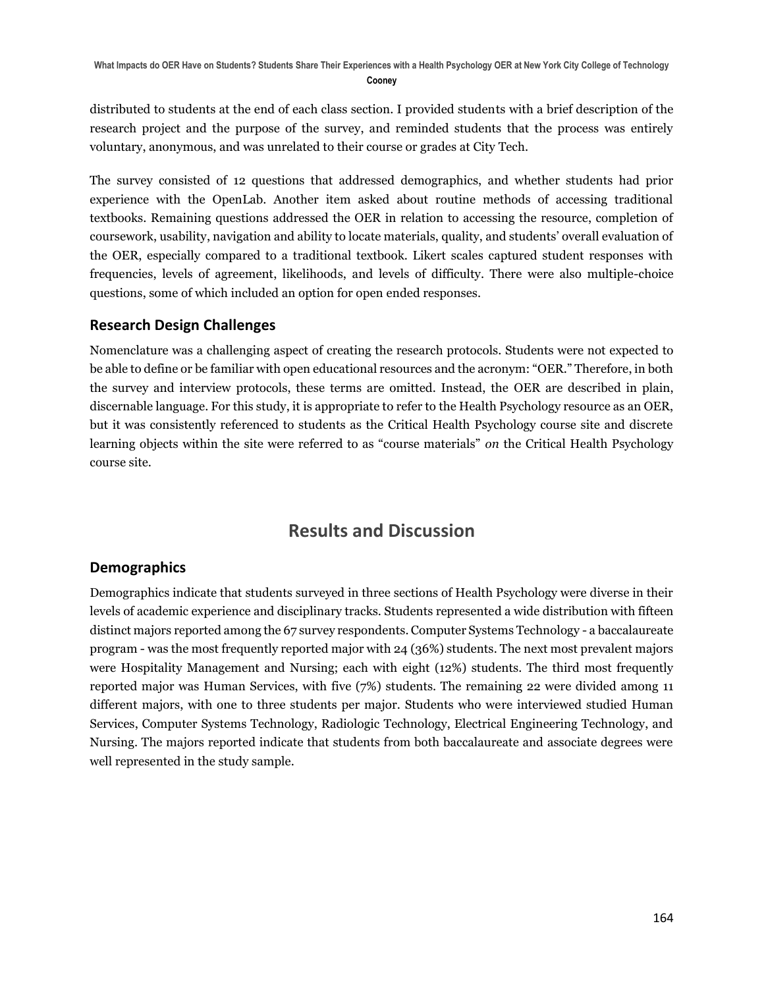distributed to students at the end of each class section. I provided students with a brief description of the research project and the purpose of the survey, and reminded students that the process was entirely voluntary, anonymous, and was unrelated to their course or grades at City Tech.

The survey consisted of 12 questions that addressed demographics, and whether students had prior experience with the OpenLab. Another item asked about routine methods of accessing traditional textbooks. Remaining questions addressed the OER in relation to accessing the resource, completion of coursework, usability, navigation and ability to locate materials, quality, and students' overall evaluation of the OER, especially compared to a traditional textbook. Likert scales captured student responses with frequencies, levels of agreement, likelihoods, and levels of difficulty. There were also multiple-choice questions, some of which included an option for open ended responses.

#### **Research Design Challenges**

Nomenclature was a challenging aspect of creating the research protocols. Students were not expected to be able to define or be familiar with open educational resources and the acronym: "OER." Therefore, in both the survey and interview protocols, these terms are omitted. Instead, the OER are described in plain, discernable language. For this study, it is appropriate to refer to the Health Psychology resource as an OER, but it was consistently referenced to students as the Critical Health Psychology course site and discrete learning objects within the site were referred to as "course materials" *on* the Critical Health Psychology course site.

## **Results and Discussion**

#### **Demographics**

Demographics indicate that students surveyed in three sections of Health Psychology were diverse in their levels of academic experience and disciplinary tracks. Students represented a wide distribution with fifteen distinct majors reported among the 67 survey respondents. Computer Systems Technology - a baccalaureate program - was the most frequently reported major with 24 (36%) students. The next most prevalent majors were Hospitality Management and Nursing; each with eight (12%) students. The third most frequently reported major was Human Services, with five (7%) students. The remaining 22 were divided among 11 different majors, with one to three students per major. Students who were interviewed studied Human Services, Computer Systems Technology, Radiologic Technology, Electrical Engineering Technology, and Nursing. The majors reported indicate that students from both baccalaureate and associate degrees were well represented in the study sample.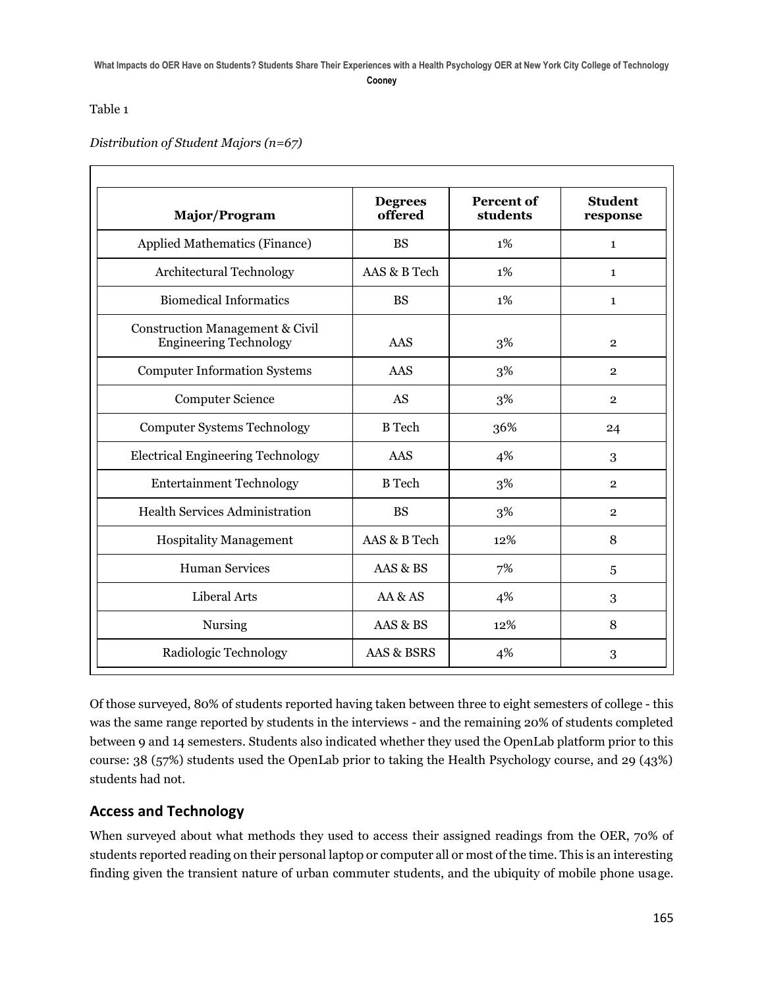#### Table 1

#### *Distribution of Student Majors (n=67)*

| Major/Program                                                               | <b>Degrees</b><br>offered | <b>Percent of</b><br>students | <b>Student</b><br>response |
|-----------------------------------------------------------------------------|---------------------------|-------------------------------|----------------------------|
| <b>Applied Mathematics (Finance)</b>                                        | <b>BS</b>                 | 1%                            | $\mathbf{1}$               |
| <b>Architectural Technology</b>                                             | AAS & B Tech              | $1\%$                         | $\mathbf{1}$               |
| <b>Biomedical Informatics</b>                                               | <b>BS</b>                 | $1\%$                         | $\mathbf{1}$               |
| <b>Construction Management &amp; Civil</b><br><b>Engineering Technology</b> | AAS                       | 3%                            | $\overline{2}$             |
| <b>Computer Information Systems</b>                                         | AAS                       | 3%                            | $\overline{2}$             |
| <b>Computer Science</b>                                                     | AS                        | 3%                            | $\overline{2}$             |
| <b>Computer Systems Technology</b>                                          | <b>B</b> Tech             | 36%                           | 24                         |
| <b>Electrical Engineering Technology</b>                                    | AAS                       | 4%                            | 3                          |
| <b>Entertainment Technology</b>                                             | <b>B</b> Tech             | 3%                            | $\overline{2}$             |
| <b>Health Services Administration</b>                                       | <b>BS</b>                 | 3%                            | $\overline{2}$             |
| <b>Hospitality Management</b>                                               | AAS & B Tech              | 12%                           | 8                          |
| <b>Human Services</b>                                                       | AAS & BS                  | 7%                            | 5                          |
| Liberal Arts                                                                | AA & AS                   | 4%                            | 3                          |
| Nursing                                                                     | AAS & BS                  | 12%                           | 8                          |
| Radiologic Technology                                                       | AAS & BSRS                | 4%                            | 3                          |

Of those surveyed, 80% of students reported having taken between three to eight semesters of college - this was the same range reported by students in the interviews - and the remaining 20% of students completed between 9 and 14 semesters. Students also indicated whether they used the OpenLab platform prior to this course: 38 (57%) students used the OpenLab prior to taking the Health Psychology course, and 29 (43%) students had not.

#### **Access and Technology**

When surveyed about what methods they used to access their assigned readings from the OER, 70% of students reported reading on their personal laptop or computer all or most of the time. This is an interesting finding given the transient nature of urban commuter students, and the ubiquity of mobile phone usage.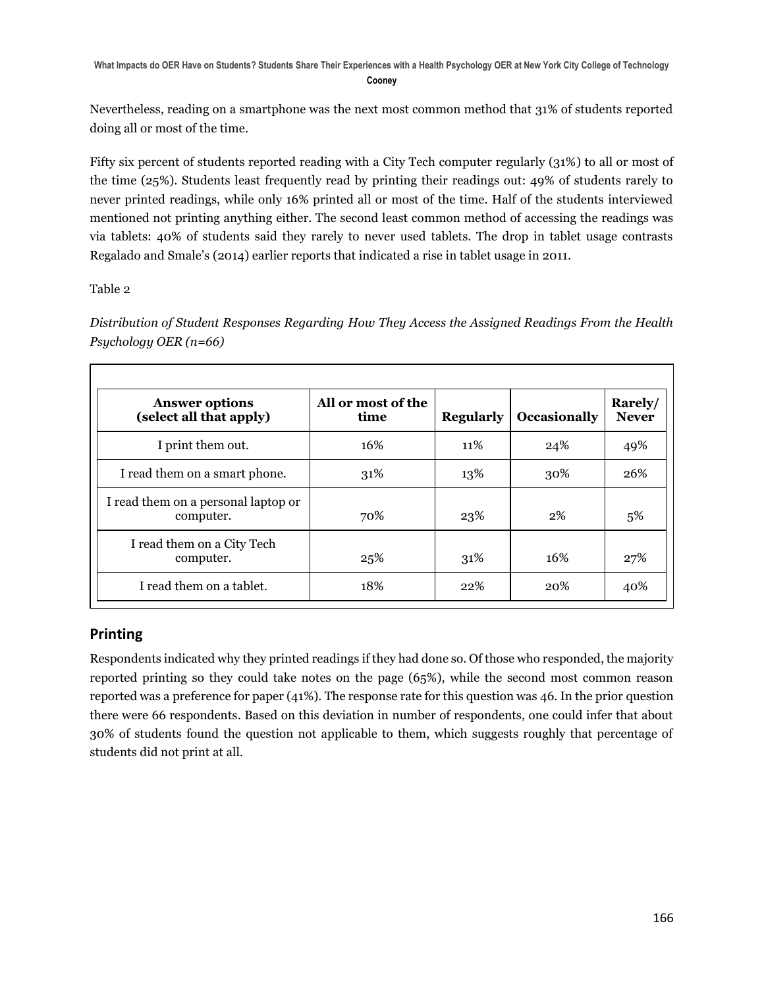Nevertheless, reading on a smartphone was the next most common method that 31% of students reported doing all or most of the time.

Fifty six percent of students reported reading with a City Tech computer regularly (31%) to all or most of the time (25%). Students least frequently read by printing their readings out: 49% of students rarely to never printed readings, while only 16% printed all or most of the time. Half of the students interviewed mentioned not printing anything either. The second least common method of accessing the readings was via tablets: 40% of students said they rarely to never used tablets. The drop in tablet usage contrasts Regalado and Smale's (2014) earlier reports that indicated a rise in tablet usage in 2011.

#### Table 2

*Distribution of Student Responses Regarding How They Access the Assigned Readings From the Health Psychology OER (n=66)*

| <b>Answer options</b>                            | All or most of the |                  |                     | Rarely/      |
|--------------------------------------------------|--------------------|------------------|---------------------|--------------|
| (select all that apply)                          | time               | <b>Regularly</b> | <b>Occasionally</b> | <b>Never</b> |
| I print them out.                                | 16%                | 11\%             | 24%                 | 49%          |
| I read them on a smart phone.                    | 31%                | 13%              | 30%                 | 26%          |
| I read them on a personal laptop or<br>computer. | 70%                | 23%              | 2%                  | 5%           |
| I read them on a City Tech<br>computer.          | 25%                | 31%              | 16%                 | 27%          |
| I read them on a tablet.                         | 18%                | 22%              | 20%                 | 40%          |

#### **Printing**

Respondents indicated why they printed readings if they had done so. Of those who responded, the majority reported printing so they could take notes on the page (65%), while the second most common reason reported was a preference for paper (41%). The response rate for this question was 46. In the prior question there were 66 respondents. Based on this deviation in number of respondents, one could infer that about 30% of students found the question not applicable to them, which suggests roughly that percentage of students did not print at all.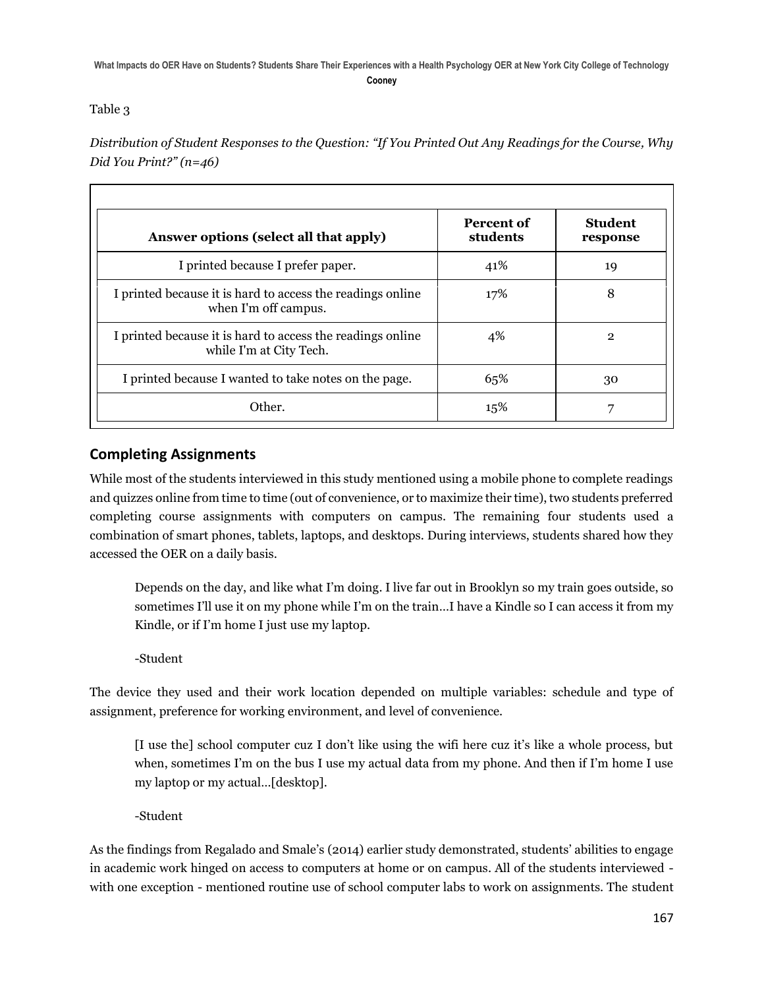Table 3

*Did You Print?" (n=46)*

*Distribution of Student Responses to the Question: "If You Printed Out Any Readings for the Course, Why* 

| Answer options (select all that apply)                                                | Percent of<br>students | Student<br>response |
|---------------------------------------------------------------------------------------|------------------------|---------------------|
| I printed because I prefer paper.                                                     | 41%                    | 19                  |
| I printed because it is hard to access the readings online<br>when I'm off campus.    | 17%                    | 8                   |
| I printed because it is hard to access the readings online<br>while I'm at City Tech. | 4%                     | $\mathbf{2}$        |
| I printed because I wanted to take notes on the page.                                 | 65%                    | 30                  |
| Other.                                                                                | 15%                    |                     |

**Completing Assignments**

While most of the students interviewed in this study mentioned using a mobile phone to complete readings and quizzes online from time to time (out of convenience, or to maximize their time), two students preferred completing course assignments with computers on campus. The remaining four students used a combination of smart phones, tablets, laptops, and desktops. During interviews, students shared how they accessed the OER on a daily basis.

Depends on the day, and like what I'm doing. I live far out in Brooklyn so my train goes outside, so sometimes I'll use it on my phone while I'm on the train...I have a Kindle so I can access it from my Kindle, or if I'm home I just use my laptop.

-Student

The device they used and their work location depended on multiple variables: schedule and type of assignment, preference for working environment, and level of convenience.

[I use the] school computer cuz I don't like using the wifi here cuz it's like a whole process, but when, sometimes I'm on the bus I use my actual data from my phone. And then if I'm home I use my laptop or my actual…[desktop].

-Student

As the findings from Regalado and Smale's (2014) earlier study demonstrated, students' abilities to engage in academic work hinged on access to computers at home or on campus. All of the students interviewed with one exception - mentioned routine use of school computer labs to work on assignments. The student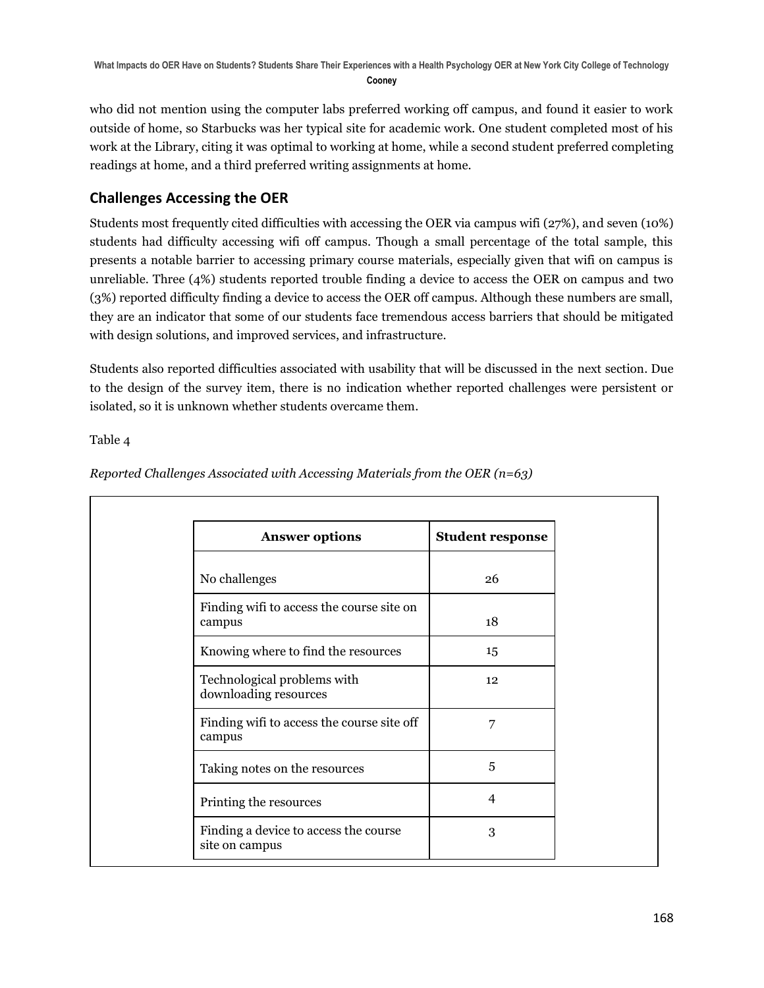who did not mention using the computer labs preferred working off campus, and found it easier to work outside of home, so Starbucks was her typical site for academic work. One student completed most of his work at the Library, citing it was optimal to working at home, while a second student preferred completing readings at home, and a third preferred writing assignments at home.

### **Challenges Accessing the OER**

Students most frequently cited difficulties with accessing the OER via campus wifi (27%), and seven (10%) students had difficulty accessing wifi off campus. Though a small percentage of the total sample, this presents a notable barrier to accessing primary course materials, especially given that wifi on campus is unreliable. Three (4%) students reported trouble finding a device to access the OER on campus and two (3%) reported difficulty finding a device to access the OER off campus. Although these numbers are small, they are an indicator that some of our students face tremendous access barriers that should be mitigated with design solutions, and improved services, and infrastructure.

Students also reported difficulties associated with usability that will be discussed in the next section. Due to the design of the survey item, there is no indication whether reported challenges were persistent or isolated, so it is unknown whether students overcame them.

Table 4

| <b>Answer options</b>                                   | <b>Student response</b> |
|---------------------------------------------------------|-------------------------|
| No challenges                                           | 26                      |
| Finding wifi to access the course site on<br>campus     | 18                      |
| Knowing where to find the resources                     | 15                      |
| Technological problems with<br>downloading resources    | 12                      |
| Finding wifi to access the course site off<br>campus    | 7                       |
| Taking notes on the resources                           | 5                       |
| Printing the resources                                  | $\overline{4}$          |
| Finding a device to access the course<br>site on campus | 3                       |

*Reported Challenges Associated with Accessing Materials from the OER (n=63)*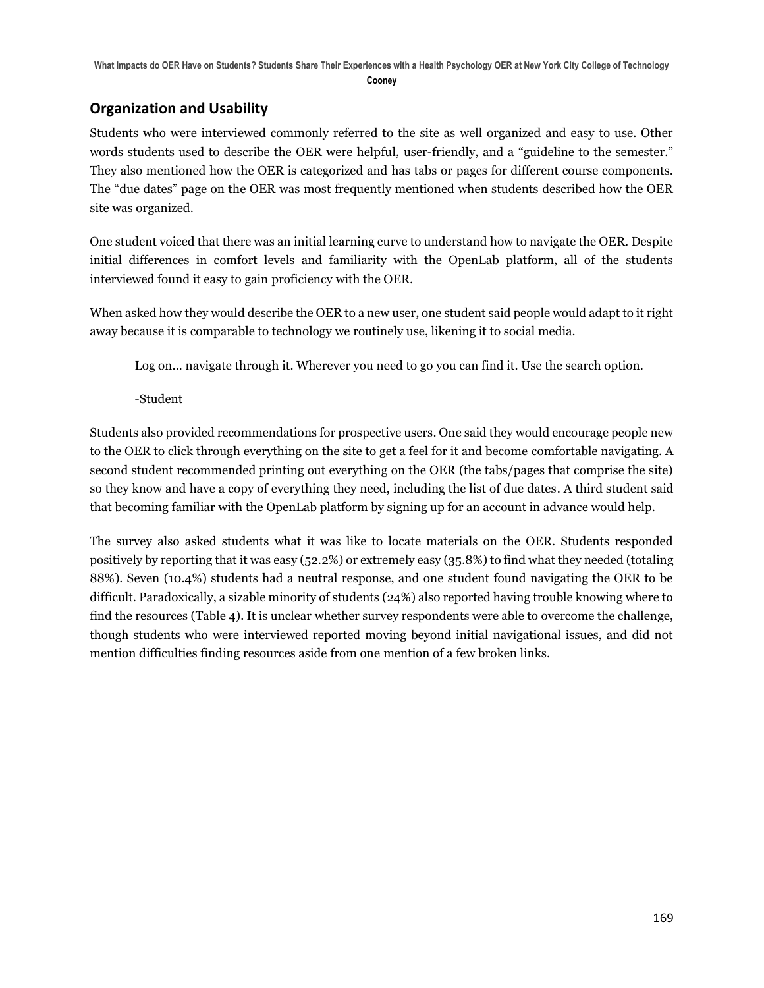## **Organization and Usability**

Students who were interviewed commonly referred to the site as well organized and easy to use. Other words students used to describe the OER were helpful, user-friendly, and a "guideline to the semester." They also mentioned how the OER is categorized and has tabs or pages for different course components. The "due dates" page on the OER was most frequently mentioned when students described how the OER site was organized.

One student voiced that there was an initial learning curve to understand how to navigate the OER. Despite initial differences in comfort levels and familiarity with the OpenLab platform, all of the students interviewed found it easy to gain proficiency with the OER.

When asked how they would describe the OER to a new user, one student said people would adapt to it right away because it is comparable to technology we routinely use, likening it to social media.

Log on… navigate through it. Wherever you need to go you can find it. Use the search option.

-Student

Students also provided recommendations for prospective users. One said they would encourage people new to the OER to click through everything on the site to get a feel for it and become comfortable navigating. A second student recommended printing out everything on the OER (the tabs/pages that comprise the site) so they know and have a copy of everything they need, including the list of due dates. A third student said that becoming familiar with the OpenLab platform by signing up for an account in advance would help.

The survey also asked students what it was like to locate materials on the OER. Students responded positively by reporting that it was easy (52.2%) or extremely easy (35.8%) to find what they needed (totaling 88%). Seven (10.4%) students had a neutral response, and one student found navigating the OER to be difficult. Paradoxically, a sizable minority of students (24%) also reported having trouble knowing where to find the resources (Table 4). It is unclear whether survey respondents were able to overcome the challenge, though students who were interviewed reported moving beyond initial navigational issues, and did not mention difficulties finding resources aside from one mention of a few broken links.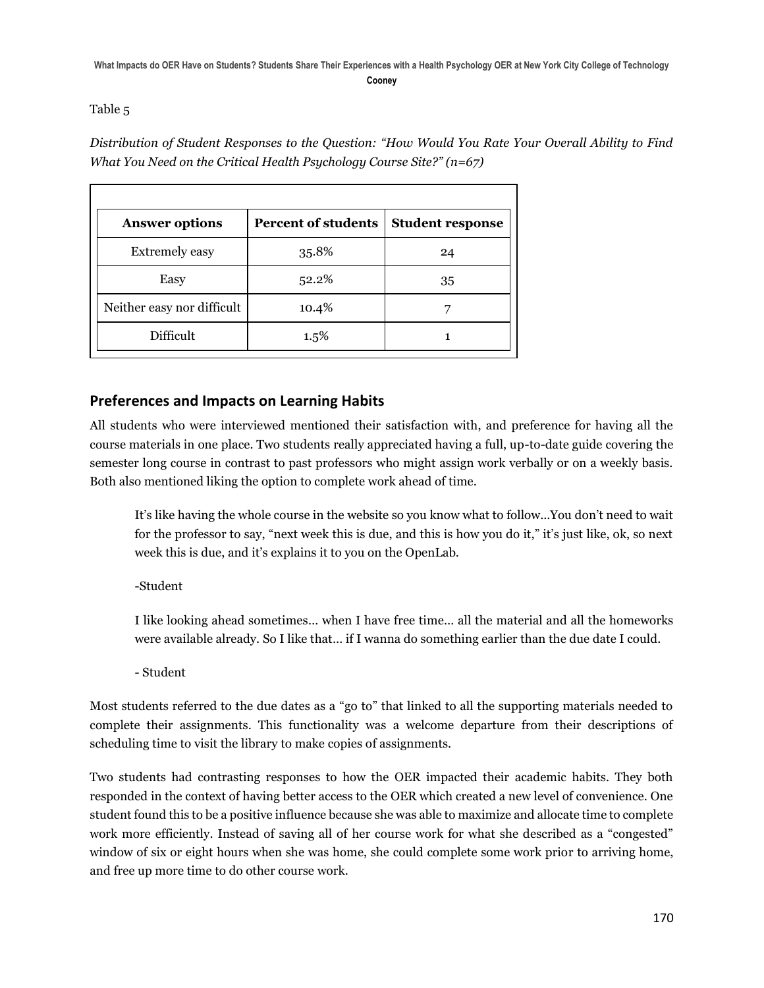Table 5

*Distribution of Student Responses to the Question: "How Would You Rate Your Overall Ability to Find What You Need on the Critical Health Psychology Course Site?" (n=67)*

| <b>Answer options</b>      | <b>Percent of students</b> | <b>Student response</b> |
|----------------------------|----------------------------|-------------------------|
| <b>Extremely easy</b>      | 35.8%                      | 24                      |
| Easy                       | 52.2%                      | 35                      |
| Neither easy nor difficult | 10.4%                      |                         |
| Difficult                  | $1.5\%$                    |                         |

#### **Preferences and Impacts on Learning Habits**

All students who were interviewed mentioned their satisfaction with, and preference for having all the course materials in one place. Two students really appreciated having a full, up-to-date guide covering the semester long course in contrast to past professors who might assign work verbally or on a weekly basis. Both also mentioned liking the option to complete work ahead of time.

It's like having the whole course in the website so you know what to follow...You don't need to wait for the professor to say, "next week this is due, and this is how you do it," it's just like, ok, so next week this is due, and it's explains it to you on the OpenLab.

-Student

I like looking ahead sometimes… when I have free time… all the material and all the homeworks were available already. So I like that… if I wanna do something earlier than the due date I could.

- Student

Most students referred to the due dates as a "go to" that linked to all the supporting materials needed to complete their assignments. This functionality was a welcome departure from their descriptions of scheduling time to visit the library to make copies of assignments.

Two students had contrasting responses to how the OER impacted their academic habits. They both responded in the context of having better access to the OER which created a new level of convenience. One student found this to be a positive influence because she was able to maximize and allocate time to complete work more efficiently. Instead of saving all of her course work for what she described as a "congested" window of six or eight hours when she was home, she could complete some work prior to arriving home, and free up more time to do other course work.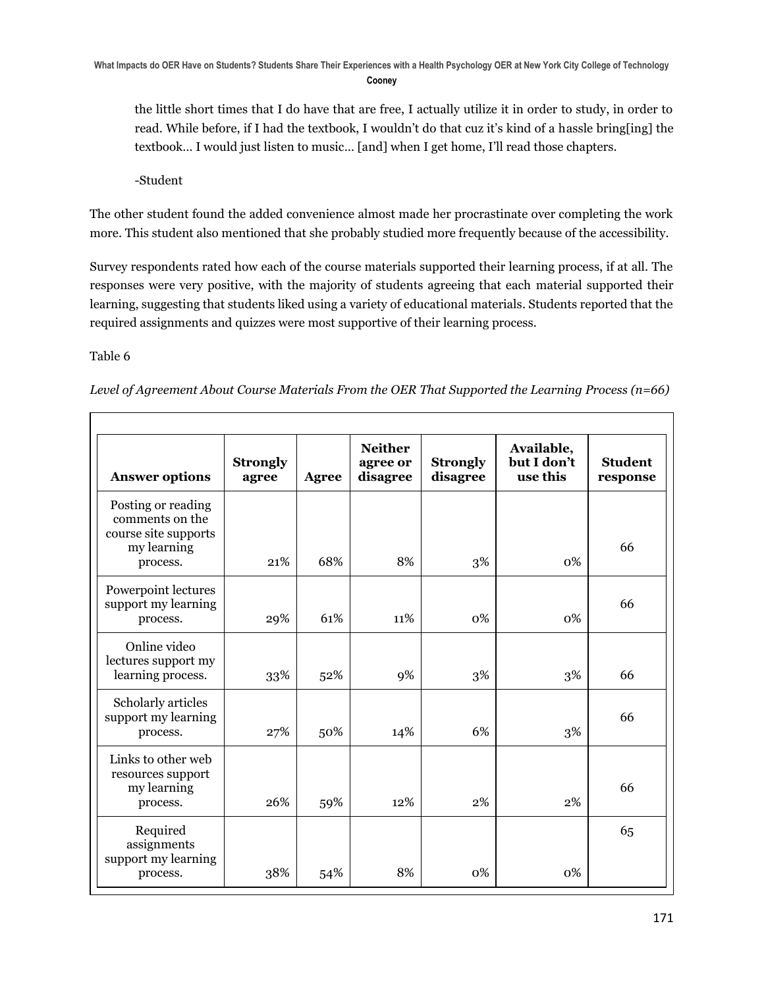the little short times that I do have that are free, I actually utilize it in order to study, in order to read. While before, if I had the textbook, I wouldn't do that cuz it's kind of a hassle bring[ing] the textbook… I would just listen to music… [and] when I get home, I'll read those chapters.

-Student

The other student found the added convenience almost made her procrastinate over completing the work more. This student also mentioned that she probably studied more frequently because of the accessibility.

Survey respondents rated how each of the course materials supported their learning process, if at all. The responses were very positive, with the majority of students agreeing that each material supported their learning, suggesting that students liked using a variety of educational materials. Students reported that the required assignments and quizzes were most supportive of their learning process.

Table 6

*Level of Agreement About Course Materials From the OER That Supported the Learning Process (n=66)*

| <b>Answer options</b>                                                                    | <b>Strongly</b><br>agree | Agree | <b>Neither</b><br>agree or<br>disagree | <b>Strongly</b><br>disagree | Available,<br>but I don't<br>use this | <b>Student</b><br>response |
|------------------------------------------------------------------------------------------|--------------------------|-------|----------------------------------------|-----------------------------|---------------------------------------|----------------------------|
| Posting or reading<br>comments on the<br>course site supports<br>my learning<br>process. | 21%                      | 68%   | 8%                                     | 3%                          | $0\%$                                 | 66                         |
| Powerpoint lectures<br>support my learning<br>process.                                   | 29%                      | 61%   | 11%                                    | 0%                          | 0%                                    | 66                         |
| Online video<br>lectures support my<br>learning process.                                 | $33\%$                   | 52%   | <b>9%</b>                              | 3%                          | 3%                                    | 66                         |
| Scholarly articles<br>support my learning<br>process.                                    | 27%                      | 50%   | 14%                                    | 6%                          | 3%                                    | 66                         |
| Links to other web<br>resources support<br>my learning<br>process.                       | 26%                      | 59%   | 12%                                    | 2%                          | 2%                                    | 66                         |
| Required<br>assignments<br>support my learning<br>process.                               | 38%                      | 54%   | 8%                                     | 0%                          | 0%                                    | 65                         |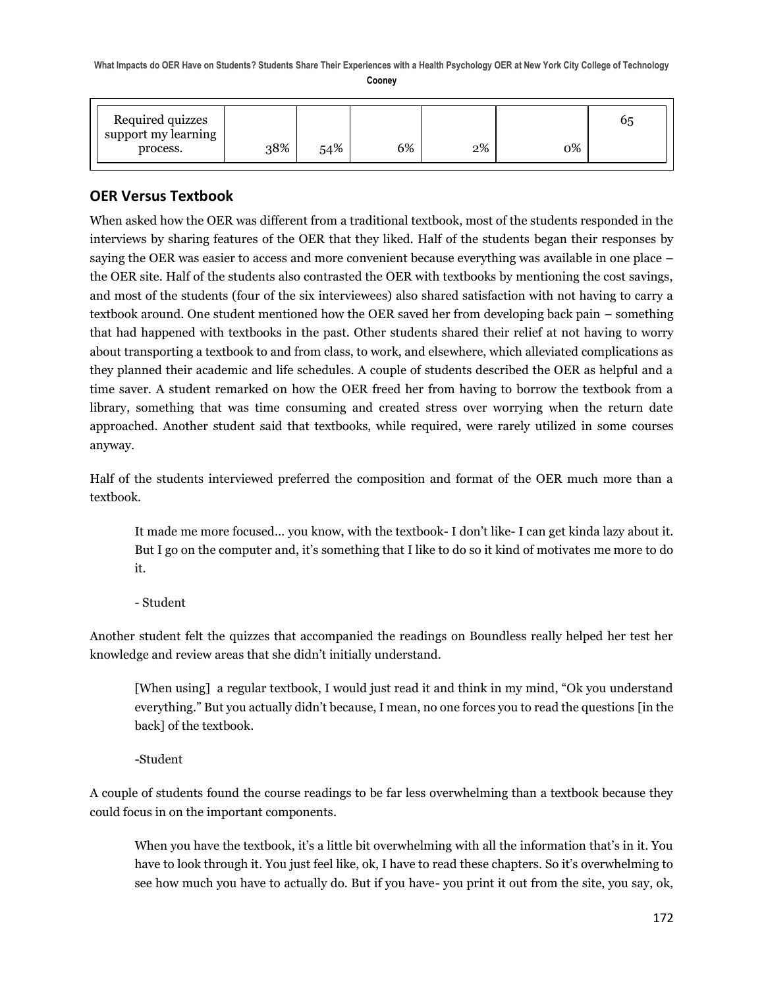| Required quizzes                |     |     |    |    |    | οF |
|---------------------------------|-----|-----|----|----|----|----|
| support my learning<br>process. | 38% | 54% | 6% | 2% | 0% |    |

#### **OER Versus Textbook**

When asked how the OER was different from a traditional textbook, most of the students responded in the interviews by sharing features of the OER that they liked. Half of the students began their responses by saying the OER was easier to access and more convenient because everything was available in one place – the OER site. Half of the students also contrasted the OER with textbooks by mentioning the cost savings, and most of the students (four of the six interviewees) also shared satisfaction with not having to carry a textbook around. One student mentioned how the OER saved her from developing back pain – something that had happened with textbooks in the past. Other students shared their relief at not having to worry about transporting a textbook to and from class, to work, and elsewhere, which alleviated complications as they planned their academic and life schedules. A couple of students described the OER as helpful and a time saver. A student remarked on how the OER freed her from having to borrow the textbook from a library, something that was time consuming and created stress over worrying when the return date approached. Another student said that textbooks, while required, were rarely utilized in some courses anyway.

Half of the students interviewed preferred the composition and format of the OER much more than a textbook.

It made me more focused… you know, with the textbook- I don't like- I can get kinda lazy about it. But I go on the computer and, it's something that I like to do so it kind of motivates me more to do it.

- Student

Another student felt the quizzes that accompanied the readings on Boundless really helped her test her knowledge and review areas that she didn't initially understand.

[When using] a regular textbook, I would just read it and think in my mind, "Ok you understand everything." But you actually didn't because, I mean, no one forces you to read the questions [in the back] of the textbook.

-Student

A couple of students found the course readings to be far less overwhelming than a textbook because they could focus in on the important components.

When you have the textbook, it's a little bit overwhelming with all the information that's in it. You have to look through it. You just feel like, ok, I have to read these chapters. So it's overwhelming to see how much you have to actually do. But if you have- you print it out from the site, you say, ok,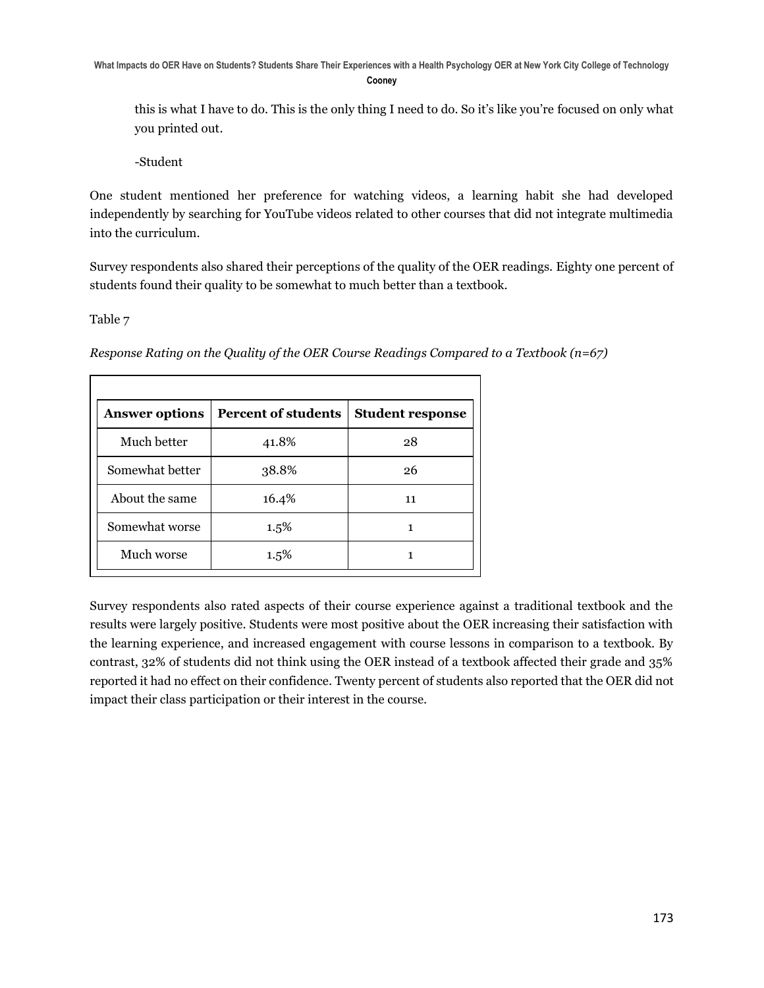this is what I have to do. This is the only thing I need to do. So it's like you're focused on only what you printed out.

-Student

One student mentioned her preference for watching videos, a learning habit she had developed independently by searching for YouTube videos related to other courses that did not integrate multimedia into the curriculum.

Survey respondents also shared their perceptions of the quality of the OER readings. Eighty one percent of students found their quality to be somewhat to much better than a textbook.

Table 7

*Response Rating on the Quality of the OER Course Readings Compared to a Textbook (n=67)*

| <b>Answer options</b> | <b>Percent of students</b> | <b>Student response</b> |
|-----------------------|----------------------------|-------------------------|
| Much better           | 41.8%                      | 28                      |
| Somewhat better       | 38.8%                      | 26                      |
| About the same        | 16.4%                      | 11                      |
| Somewhat worse        | $1.5\%$                    |                         |
| Much worse            | $1.5\%$                    |                         |

Survey respondents also rated aspects of their course experience against a traditional textbook and the results were largely positive. Students were most positive about the OER increasing their satisfaction with the learning experience, and increased engagement with course lessons in comparison to a textbook. By contrast, 32% of students did not think using the OER instead of a textbook affected their grade and 35% reported it had no effect on their confidence. Twenty percent of students also reported that the OER did not impact their class participation or their interest in the course.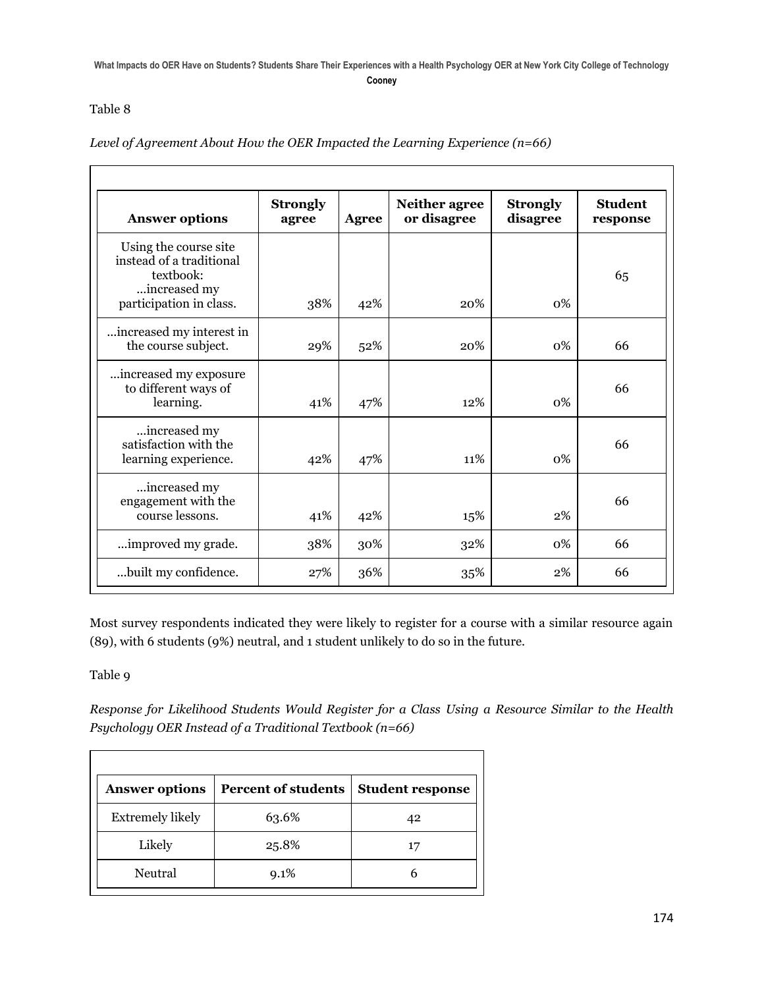#### Table 8

#### *Level of Agreement About How the OER Impacted the Learning Experience (n=66)*

| <b>Answer options</b>                                                                                     | <b>Strongly</b><br>agree | Agree | Neither agree<br>or disagree | <b>Strongly</b><br>disagree | <b>Student</b><br>response |
|-----------------------------------------------------------------------------------------------------------|--------------------------|-------|------------------------------|-----------------------------|----------------------------|
| Using the course site<br>instead of a traditional<br>textbook:<br>increased my<br>participation in class. | 38%                      | 42%   | 20%                          | 0%                          | 65                         |
| increased my interest in<br>the course subject.                                                           | 29%                      | 52%   | 20%                          | 0%                          | 66                         |
| increased my exposure<br>to different ways of<br>learning.                                                | 41%                      | 47%   | 12%                          | $0\%$                       | 66                         |
| increased my<br>satisfaction with the<br>learning experience.                                             | 42%                      | 47%   | 11%                          | 0%                          | 66                         |
| increased my<br>engagement with the<br>course lessons.                                                    | 41%                      | 42%   | 15%                          | 2%                          | 66                         |
| improved my grade.                                                                                        | 38%                      | 30%   | 32%                          | $0\%$                       | 66                         |
| built my confidence.                                                                                      | 27%                      | 36%   | 35%                          | 2%                          | 66                         |

Most survey respondents indicated they were likely to register for a course with a similar resource again (89), with 6 students (9%) neutral, and 1 student unlikely to do so in the future.

Table 9

*Response for Likelihood Students Would Register for a Class Using a Resource Similar to the Health Psychology OER Instead of a Traditional Textbook (n=66)*

| <b>Answer options</b>   | Percent of students | <b>Student response</b> |
|-------------------------|---------------------|-------------------------|
| <b>Extremely likely</b> | 63.6%               | 42                      |
| Likely                  | 25.8%               | 17                      |
| Neutral                 | 9.1%                | n                       |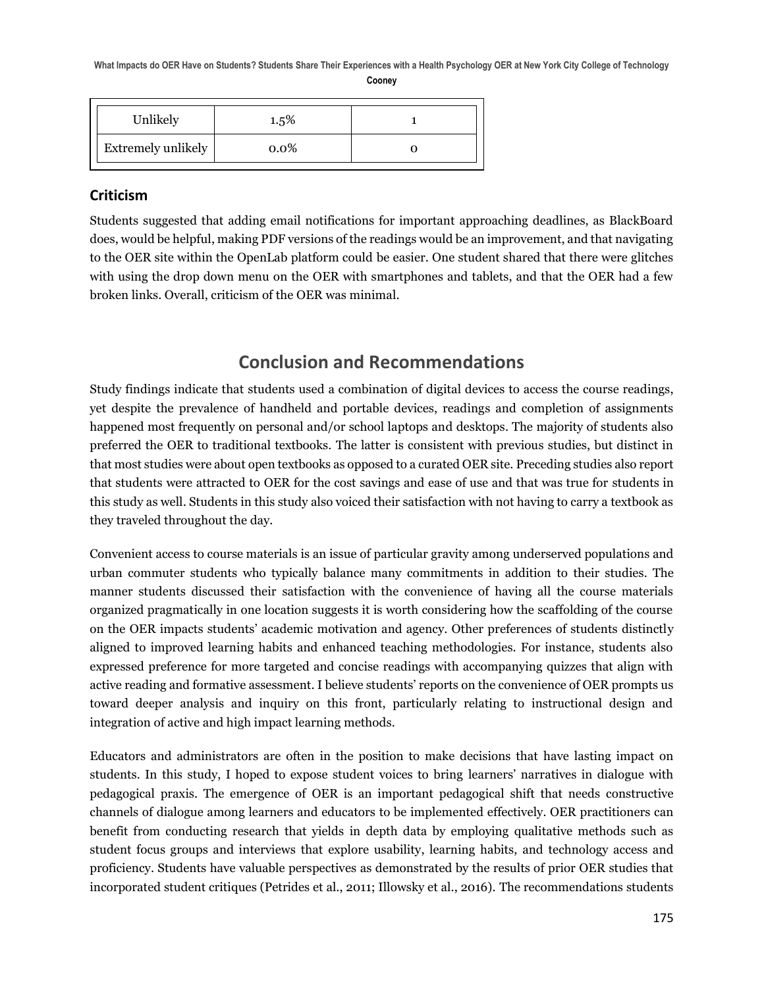| Unlikely           | 1.5%    |  |
|--------------------|---------|--|
| Extremely unlikely | $0.0\%$ |  |

#### **Criticism**

Students suggested that adding email notifications for important approaching deadlines, as BlackBoard does, would be helpful, making PDF versions of the readings would be an improvement, and that navigating to the OER site within the OpenLab platform could be easier. One student shared that there were glitches with using the drop down menu on the OER with smartphones and tablets, and that the OER had a few broken links. Overall, criticism of the OER was minimal.

## **Conclusion and Recommendations**

Study findings indicate that students used a combination of digital devices to access the course readings, yet despite the prevalence of handheld and portable devices, readings and completion of assignments happened most frequently on personal and/or school laptops and desktops. The majority of students also preferred the OER to traditional textbooks. The latter is consistent with previous studies, but distinct in that most studies were about open textbooks as opposed to a curated OER site. Preceding studies also report that students were attracted to OER for the cost savings and ease of use and that was true for students in this study as well. Students in this study also voiced their satisfaction with not having to carry a textbook as they traveled throughout the day.

Convenient access to course materials is an issue of particular gravity among underserved populations and urban commuter students who typically balance many commitments in addition to their studies. The manner students discussed their satisfaction with the convenience of having all the course materials organized pragmatically in one location suggests it is worth considering how the scaffolding of the course on the OER impacts students' academic motivation and agency. Other preferences of students distinctly aligned to improved learning habits and enhanced teaching methodologies. For instance, students also expressed preference for more targeted and concise readings with accompanying quizzes that align with active reading and formative assessment. I believe students' reports on the convenience of OER prompts us toward deeper analysis and inquiry on this front, particularly relating to instructional design and integration of active and high impact learning methods.

Educators and administrators are often in the position to make decisions that have lasting impact on students. In this study, I hoped to expose student voices to bring learners' narratives in dialogue with pedagogical praxis. The emergence of OER is an important pedagogical shift that needs constructive channels of dialogue among learners and educators to be implemented effectively. OER practitioners can benefit from conducting research that yields in depth data by employing qualitative methods such as student focus groups and interviews that explore usability, learning habits, and technology access and proficiency. Students have valuable perspectives as demonstrated by the results of prior OER studies that incorporated student critiques (Petrides et al., 2011; Illowsky et al., 2016). The recommendations students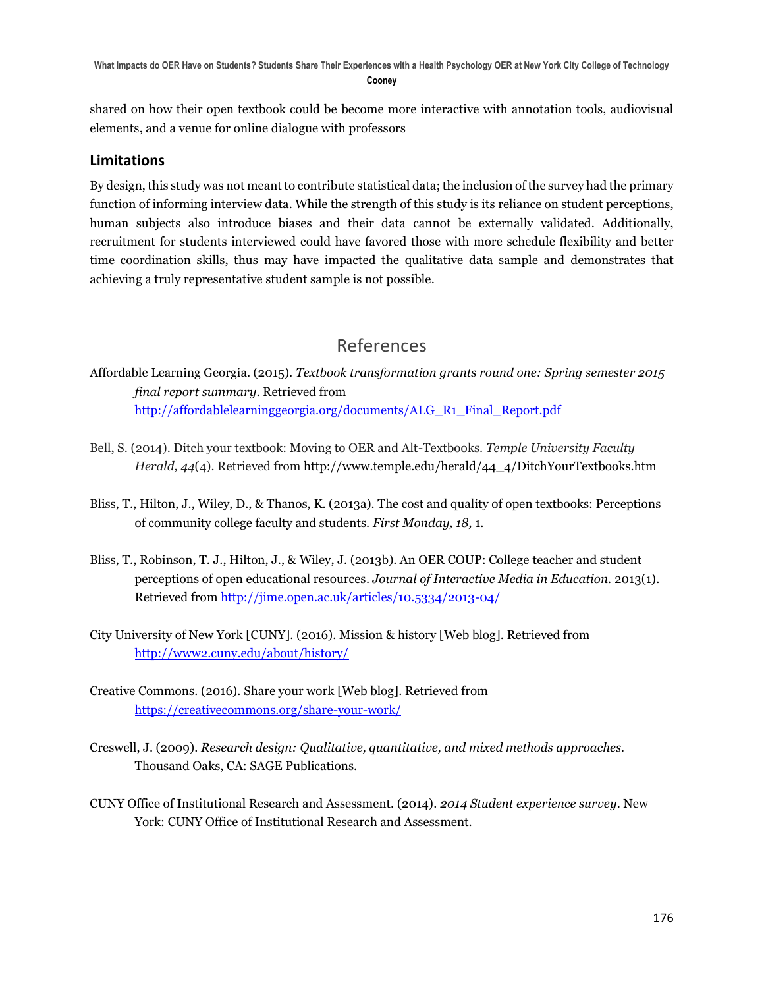shared on how their open textbook could be become more interactive with annotation tools, audiovisual elements, and a venue for online dialogue with professors

#### **Limitations**

By design, this study was not meant to contribute statistical data; the inclusion of the survey had the primary function of informing interview data. While the strength of this study is its reliance on student perceptions, human subjects also introduce biases and their data cannot be externally validated. Additionally, recruitment for students interviewed could have favored those with more schedule flexibility and better time coordination skills, thus may have impacted the qualitative data sample and demonstrates that achieving a truly representative student sample is not possible.

## References

Affordable Learning Georgia. (2015). *Textbook transformation grants round one: Spring semester 2015 final report summary*. Retrieved from [http://affordablelearninggeorgia.org/documents/ALG\\_R1\\_Final\\_Report.pdf](http://affordablelearninggeorgia.org/documents/ALG_R1_Final_Report.pdf)

- Bell, S. (2014). Ditch your textbook: Moving to OER and Alt-Textbooks. *Temple University Faculty Herald, 44*(4). Retrieved from http://www.temple.edu/herald/44\_4/DitchYourTextbooks.htm
- Bliss, T., Hilton, J., Wiley, D., & Thanos, K. (2013a). The cost and quality of open textbooks: Perceptions of community college faculty and students. *First Monday, 18,* 1.
- Bliss, T., Robinson, T. J., Hilton, J., & Wiley, J. (2013b). An OER COUP: College teacher and student perceptions of open educational resources. *Journal of Interactive Media in Education.* 2013(1). Retrieved from<http://jime.open.ac.uk/articles/10.5334/2013-04/>
- City University of New York [CUNY]. (2016). Mission & history [Web blog]. Retrieved from <http://www2.cuny.edu/about/history/>
- Creative Commons. (2016). Share your work [Web blog]. Retrieved from <https://creativecommons.org/share-your-work/>
- Creswell, J. (2009). *Research design: Qualitative, quantitative, and mixed methods approaches.* Thousand Oaks, CA: SAGE Publications.
- CUNY Office of Institutional Research and Assessment. (2014). *2014 Student experience survey*. New York: CUNY Office of Institutional Research and Assessment.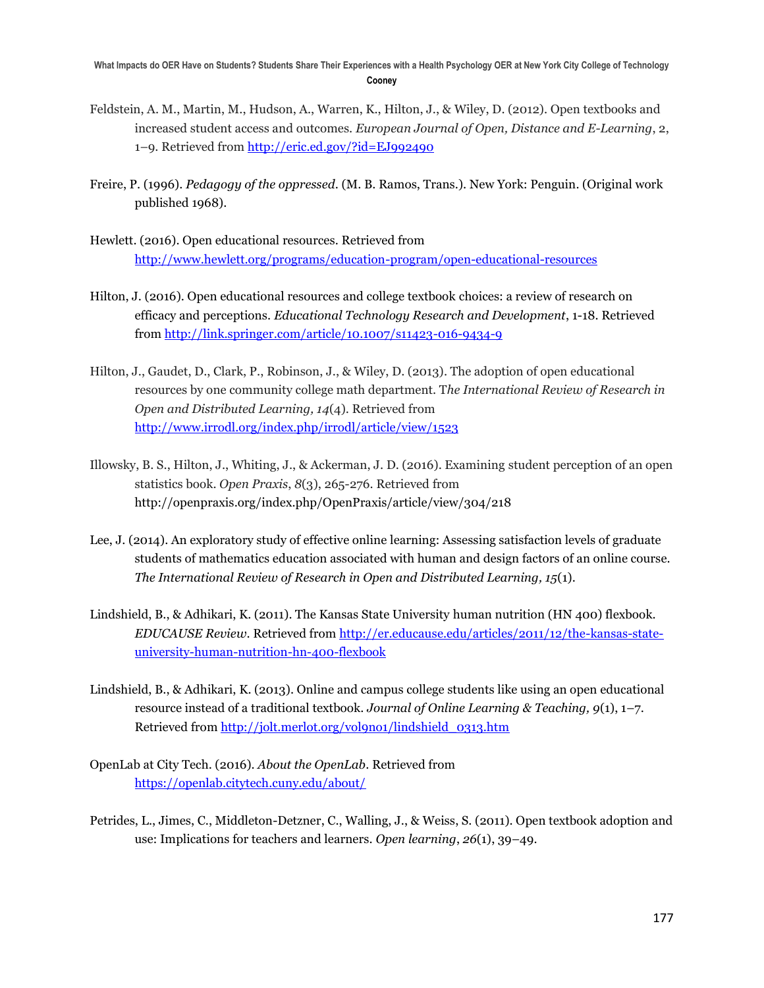- Feldstein, A. M., Martin, M., Hudson, A., Warren, K., Hilton, J., & Wiley, D. (2012). Open textbooks and increased student access and outcomes. *European Journal of Open, Distance and E-Learning*, 2, 1–9. Retrieved fro[m http://eric.ed.gov/?id=EJ992490](http://eric.ed.gov/?id=EJ992490)
- Freire, P. (1996). *Pedagogy of the oppressed*. (M. B. Ramos, Trans.). New York: Penguin. (Original work published 1968).
- Hewlett. (2016). Open educational resources. Retrieved from <http://www.hewlett.org/programs/education-program/open-educational-resources>
- Hilton, J. (2016). Open educational resources and college textbook choices: a review of research on efficacy and perceptions. *Educational Technology Research and Development*, 1-18. Retrieved from<http://link.springer.com/article/10.1007/s11423-016-9434-9>
- Hilton, J., Gaudet, D., Clark, P., Robinson, J., & Wiley, D. (2013). The adoption of open educational resources by one community college math department. T*he International Review of Research in Open and Distributed Learning, 14*(4). Retrieved from <http://www.irrodl.org/index.php/irrodl/article/view/1523>
- Illowsky, B. S., Hilton, J., Whiting, J., & Ackerman, J. D. (2016). Examining student perception of an open statistics book. *Open Praxis*, *8*(3), 265-276. Retrieved from http://openpraxis.org/index.php/OpenPraxis/article/view/304/218
- Lee, J. (2014). An exploratory study of effective online learning: Assessing satisfaction levels of graduate students of mathematics education associated with human and design factors of an online course. *The International Review of Research in Open and Distributed Learning, 15*(1).
- Lindshield, B., & Adhikari, K. (2011). The Kansas State University human nutrition (HN 400) flexbook. *EDUCAUSE Review*. Retrieved from [http://er.educause.edu/articles/2011/12/the-kansas-state](http://er.educause.edu/articles/2011/12/the-kansas-state-university-human-nutrition-hn-400-flexbook)[university-human-nutrition-hn-400-flexbook](http://er.educause.edu/articles/2011/12/the-kansas-state-university-human-nutrition-hn-400-flexbook)
- Lindshield, B., & Adhikari, K. (2013). Online and campus college students like using an open educational resource instead of a traditional textbook. *Journal of Online Learning & Teaching, 9*(1), 1–7. Retrieved from [http://jolt.merlot.org/vol9no1/lindshield\\_0313.htm](http://jolt.merlot.org/vol9no1/lindshield_0313.htm)
- OpenLab at City Tech. (2016). *About the OpenLab*. Retrieved from <https://openlab.citytech.cuny.edu/about/>
- Petrides, L., Jimes, C., Middleton-Detzner, C., Walling, J., & Weiss, S. (2011). Open textbook adoption and use: Implications for teachers and learners. *Open learning*, *26*(1), 39–49.